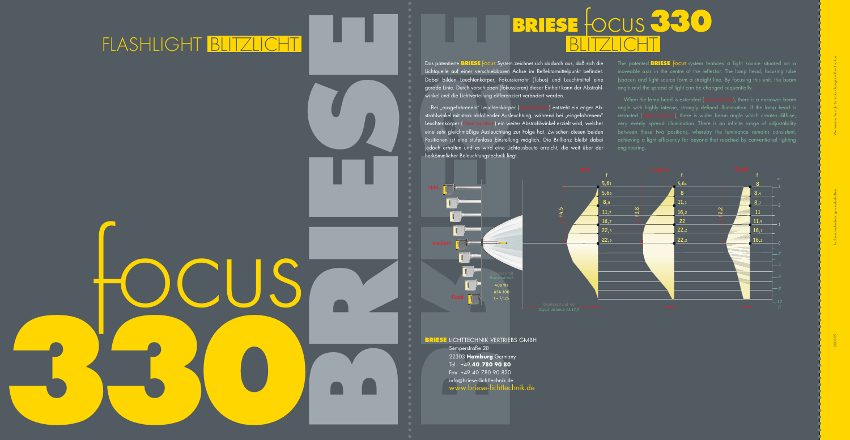**0**

**BRIESE** 

herkömmlicher Beleuchtungstechnik liegt.



## **BRIESE** focus **<sup>33</sup>** FLASH LIGHT BLITZLICHT BLITZLICHT

**BRIESE** LICHTTECHNIK VERTRIEBS GMBH Semperstraße 28 22303 **Hamburg** Germany Tel +49**.40.780 90 80** Fax +49.40.780 90 820 info @briese-lichttechnik.de www.briese-lichttechnik.de



Bei "ausgefahrenem" Leuchtenkörper (spot position) entsteht ein enger Abstrahlwinkel mit stark abfallender Ausleuchtung, während bei "eingefahrenem" Leuchtenkörper (flood position) ein weiter Abstrahlwinkel erzielt wird, welcher eine sehr gleichmäßige Ausleuchtung zur Folge hat. Zwischen diesen beiden Positionen ist eine stufenlose Einstellung möglich. Die Brillianz bleibt dabei jedoch erhalten und es wird eine Lichtausbeute erreicht, die weit über der

Das patentierte **BRIESE** focus System zeichnet sich dadurch aus, daß sich die Lichtquelle auf einer verschiebbaren Achse im Reflektormittelpunkt befindet. Dabei bilden Leuchtenkörper, Fokussierrohr (Tubus) und Leuchtmittel eine gerade Linie. Durch verschieben (fokussieren) dieser Einheit kann der Abstrahlwinkel und die Lichtverteilung differenziert verändert werden.

When the lamp head is extended (spot position), there is a narrower beam angle with highly intense, strongly defined illumination. If the lamp head is retracted (flood position), there is wider beam angle which creates diffuse, very evenly spread illumination. There is an infinite range of adjustability achieving a light efficiency far beyond that reached by conventional lighting engineering.

The patented **BRIESE** focus system features a light source situated on a moveable axis in the centre of the reflector. The lamp head, focusing tube (spacer) and light source form a straight line. By focusing this unit, the beam angle and the spread of light can be changed sequentially.